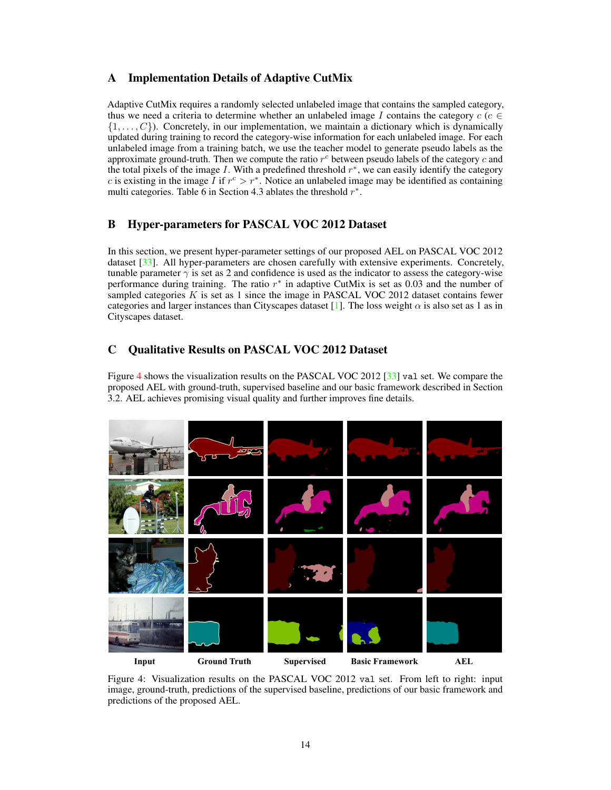## A Implementation Details of Adaptive CutMix

<span id="page-0-1"></span>Adaptive CutMix requires a randomly selected unlabeled image that contains the sampled category, thus we need a criteria to determine whether an unlabeled image *I* contains the category  $c$  ( $c \in \mathbb{R}$ ) *{*1*,...,C}*). Concretely, in our implementation, we maintain a dictionary which is dynamically updated during training to record the category-wise information for each unlabeled image. For each unlabeled image from a training batch, we use the teacher model to generate pseudo labels as the approximate ground-truth. Then we compute the ratio *r<sup>c</sup>* between pseudo labels of the category *c* and the total pixels of the image *I*. With a predefined threshold  $r^*$ , we can easily identify the category *c* is existing in the image *I* if  $r^c > r^*$ . Notice an unlabeled image may be identified as containing multi categories. Table 6 in Section 4.3 ablates the threshold  $r^*$ .

## B Hyper-parameters for PASCAL VOC 2012 Dataset

<span id="page-0-0"></span>In this section, we present hyper-parameter settings of our proposed AEL on PASCAL VOC 2012 dataset [\[33\]](#page-0-0). All hyper-parameters are chosen carefully with extensive experiments. Concretely, tunable parameter  $\gamma$  is set as 2 and confidence is used as the indicator to assess the category-wise performance during training. The ratio  $r^*$  in adaptive CutMix is set as 0.03 and the number of sampled categories *K* is set as 1 since the image in PASCAL VOC 2012 dataset contains fewer categories and larger instances than Cityscapes dataset [\[1\]](#page-0-1). The loss weight  $\alpha$  is also set as 1 as in Cityscapes dataset.

## C Qualitative Results on PASCAL VOC 2012 Dataset

Figure [4](#page-0-2) shows the visualization results on the PASCAL VOC 2012 [\[33\]](#page-0-0) val set. We compare the proposed AEL with ground-truth, supervised baseline and our basic framework described in Section 3.2. AEL achieves promising visual quality and further improves fine details.

<span id="page-0-2"></span>

Figure 4: Visualization results on the PASCAL VOC 2012 val set. From left to right: input image, ground-truth, predictions of the supervised baseline, predictions of our basic framework and predictions of the proposed AEL.